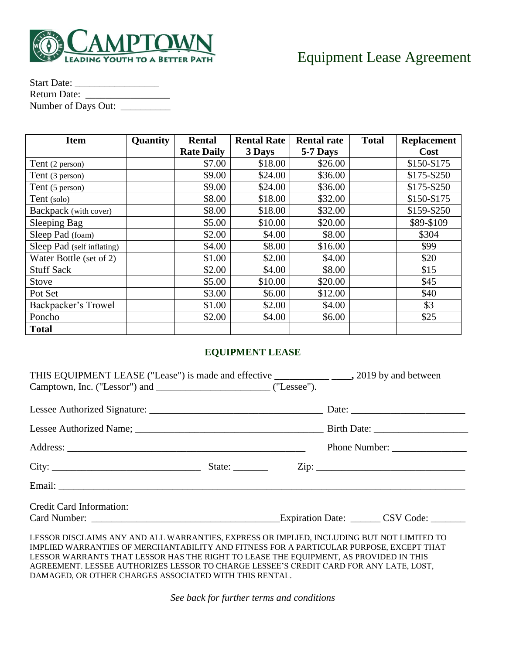

| <b>Start Date:</b>  |  |
|---------------------|--|
| Return Date:        |  |
| Number of Days Out: |  |

| <b>Item</b>                | Quantity | <b>Rental</b>     | <b>Rental Rate</b> | <b>Rental rate</b> | <b>Total</b> | <b>Replacement</b> |
|----------------------------|----------|-------------------|--------------------|--------------------|--------------|--------------------|
|                            |          | <b>Rate Daily</b> | 3 Days             | 5-7 Days           |              | <b>Cost</b>        |
| Tent (2 person)            |          | \$7.00            | \$18.00            | \$26.00            |              | \$150-\$175        |
| Tent (3 person)            |          | \$9.00            | \$24.00            | \$36.00            |              | \$175-\$250        |
| Tent (5 person)            |          | \$9.00            | \$24.00            | \$36.00            |              | \$175-\$250        |
| Tent (solo)                |          | \$8.00            | \$18.00            | \$32.00            |              | \$150-\$175        |
| Backpack (with cover)      |          | \$8.00            | \$18.00            | \$32.00            |              | \$159-\$250        |
| Sleeping Bag               |          | \$5.00            | \$10.00            | \$20.00            |              | \$89-\$109         |
| Sleep Pad (foam)           |          | \$2.00            | \$4.00             | \$8.00             |              | \$304              |
| Sleep Pad (self inflating) |          | \$4.00            | \$8.00             | \$16.00            |              | \$99               |
| Water Bottle (set of 2)    |          | \$1.00            | \$2.00             | \$4.00             |              | \$20               |
| <b>Stuff Sack</b>          |          | \$2.00            | \$4.00             | \$8.00             |              | \$15               |
| <b>Stove</b>               |          | \$5.00            | \$10.00            | \$20.00            |              | \$45               |
| Pot Set                    |          | \$3.00            | \$6.00             | \$12.00            |              | \$40               |
| Backpacker's Trowel        |          | \$1.00            | \$2.00             | \$4.00             |              | \$3                |
| Poncho                     |          | \$2.00            | \$4.00             | \$6.00             |              | \$25               |
| <b>Total</b>               |          |                   |                    |                    |              |                    |

## **EQUIPMENT LEASE**

| <b>Credit Card Information:</b>                                                                                                                                                             |  |  |
|---------------------------------------------------------------------------------------------------------------------------------------------------------------------------------------------|--|--|
|                                                                                                                                                                                             |  |  |
| LESSOR DISCLAIMS ANY AND ALL WARRANTIES, EXPRESS OR IMPLIED, INCLUDING BUT NOT LIMITED TO<br>D (BLIED WADDA) URD OF LODGILL WILL BILLION AND FIGNE OF OD A DADTICUL AD DUDDOCE FWCFDT TILLT |  |  |

IMPLIED WARRANTIES OF MERCHANTABILITY AND FITNESS FOR A PARTICULAR PURPOSE, EXCEPT THAT LESSOR WARRANTS THAT LESSOR HAS THE RIGHT TO LEASE THE EQUIPMENT, AS PROVIDED IN THIS AGREEMENT. LESSEE AUTHORIZES LESSOR TO CHARGE LESSEE'S CREDIT CARD FOR ANY LATE, LOST, DAMAGED, OR OTHER CHARGES ASSOCIATED WITH THIS RENTAL.

*See back for further terms and conditions*